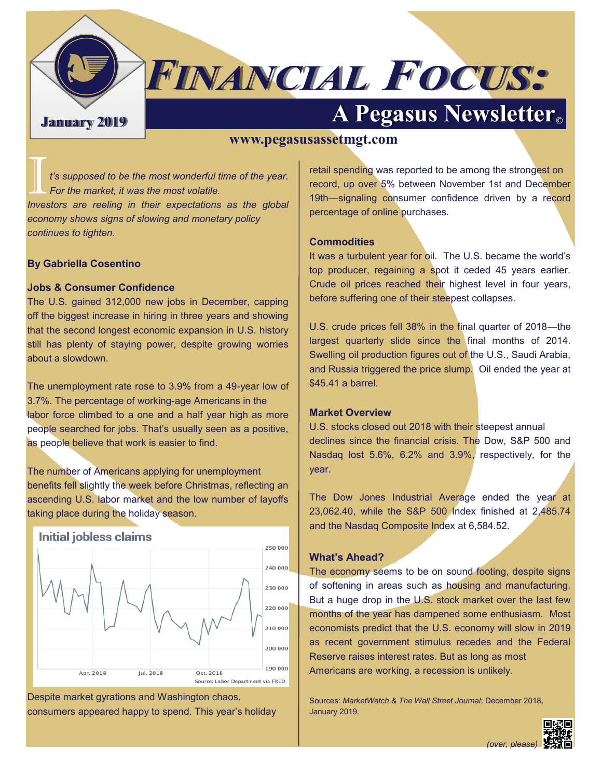

# **FINANCIAL FOCUS:**

# **January 2019 A Pegasus Newsletter©**

#### **www.pegasusassetmgt.com**

I *t's supposed to be the most wonderful time of the year. For the market, it was the most volatile.* 

*Investors are reeling in their expectations as the global economy shows signs of slowing and monetary policy continues to tighten.* 

#### **By Gabriella Cosentino**

#### **Jobs & Consumer Confidence**

The U.S. gained 312,000 new jobs in December, capping off the biggest increase in hiring in three years and showing that the second longest economic expansion in U.S. history still has plenty of staying power, despite growing worries about a slowdown.

The unemployment rate rose to 3.9% from a 49-year low of 3.7%. The percentage of working-age Americans in the labor force climbed to a one and a half year high as more people searched for jobs. That's usually seen as a positive, as people believe that work is easier to find.

The number of Americans applying for unemployment benefits fell slightly the week before Christmas, reflecting an ascending U.S. labor market and the low number of layoffs taking place during the holiday season.



Despite market gyrations and Washington chaos, consumers appeared happy to spend. This year's holiday retail spending was reported to be among the strongest on record, up over 5% between November 1st and December 19th—signaling consumer confidence driven by a record percentage of online purchases.

#### **Commodities**

It was a turbulent year for oil. The U.S. became the world's top producer, regaining a spot it ceded 45 years earlier. Crude oil prices reached their highest level in four years, before suffering one of their steepest collapses.

U.S. crude prices fell 38% in the final quarter of 2018—the largest quarterly slide since the final months of 2014. Swelling oil production figures out of the U.S., Saudi Arabia, and Russia triggered the price slump. Oil ended the year at \$45.41 a barrel.

#### **Market Overview**

U.S. stocks closed out 2018 with their steepest annual declines since the financial crisis. The Dow, S&P 500 and Nasdaq lost 5.6%, 6.2% and 3.9%, respectively, for the year.

The Dow Jones Industrial Average ended the year at 23,062.40, while the S&P 500 Index finished at 2,485.74 and the Nasdaq Composite Index at 6,584.52.

#### **What's Ahead?**

The economy seems to be on sound footing, despite signs of softening in areas such as housing and manufacturing. But a huge drop in the U.S. stock market over the last few months of the year has dampened some enthusiasm. Most economists predict that the U.S. economy will slow in 2019 as recent government stimulus recedes and the Federal Reserve raises interest rates. But as long as most Americans are working, a recession is unlikely.

Sources: *MarketWatch & The Wall Street Journal*; December 2018, January 2019.